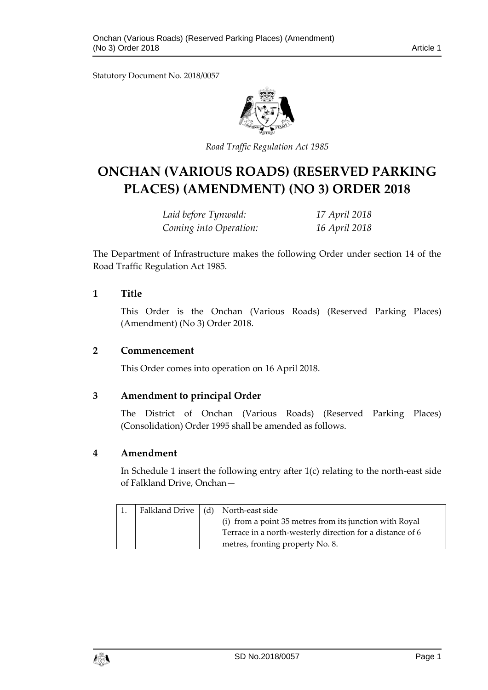Statutory Document No. 2018/0057



*Road Traffic Regulation Act 1985*

# **ONCHAN (VARIOUS ROADS) (RESERVED PARKING PLACES) (AMENDMENT) (NO 3) ORDER 2018**

*Laid before Tynwald: 17 April 2018 Coming into Operation: 16 April 2018*

The Department of Infrastructure makes the following Order under section 14 of the Road Traffic Regulation Act 1985.

#### **1 Title**

This Order is the Onchan (Various Roads) (Reserved Parking Places) (Amendment) (No 3) Order 2018.

#### **2 Commencement**

This Order comes into operation on 16 April 2018.

#### **3 Amendment to principal Order**

The District of Onchan (Various Roads) (Reserved Parking Places) (Consolidation) Order 1995 shall be amended as follows.

#### **4 Amendment**

In Schedule 1 insert the following entry after  $1(c)$  relating to the north-east side of Falkland Drive, Onchan—

|  | Falkland Drive   (d) North-east side                      |
|--|-----------------------------------------------------------|
|  | (i) from a point 35 metres from its junction with Royal   |
|  | Terrace in a north-westerly direction for a distance of 6 |
|  | metres, fronting property No. 8.                          |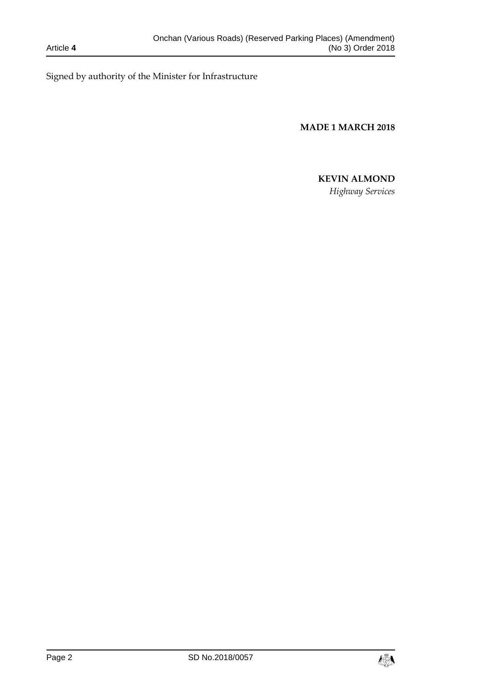Signed by authority of the Minister for Infrastructure

**MADE 1 MARCH 2018**

## **KEVIN ALMOND**

*Highway Services*